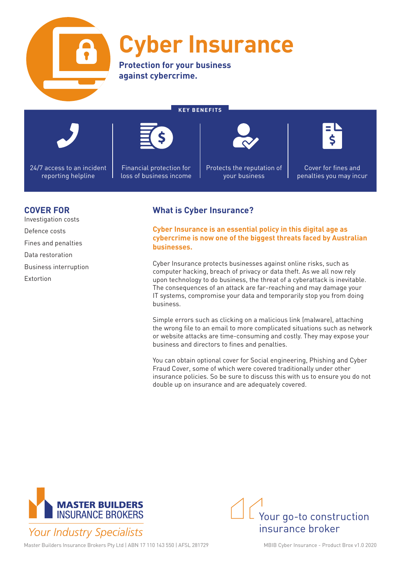

## **Cyber Insurance**

**KEY BENEFITS**

**Protection for your business against cybercrime.**



24/7 access to an incident reporting helpline



Financial protection for loss of business income Protects the reputation of your business



Cover for fines and penalties you may incur

### **COVER FOR**

Investigation costs Defence costs Fines and penalties Data restoration Business interruption Extortion

### **What is Cyber Insurance?**

**Cyber Insurance is an essential policy in this digital age as cybercrime is now one of the biggest threats faced by Australian businesses.**

Cyber Insurance protects businesses against online risks, such as computer hacking, breach of privacy or data theft. As we all now rely upon technology to do business, the threat of a cyberattack is inevitable. The consequences of an attack are far-reaching and may damage your IT systems, compromise your data and temporarily stop you from doing business.

Simple errors such as clicking on a malicious link (malware), attaching the wrong file to an email to more complicated situations such as network or website attacks are time-consuming and costly. They may expose your business and directors to fines and penalties.

You can obtain optional cover for Social engineering, Phishing and Cyber Fraud Cover, some of which were covered traditionally under other insurance policies. So be sure to discuss this with us to ensure you do not double up on insurance and are adequately covered.



Your go-to construction insurance broker

Master Builders Insurance Brokers Pty Ltd | ABN 17 110 143 550 | AFSL 281729